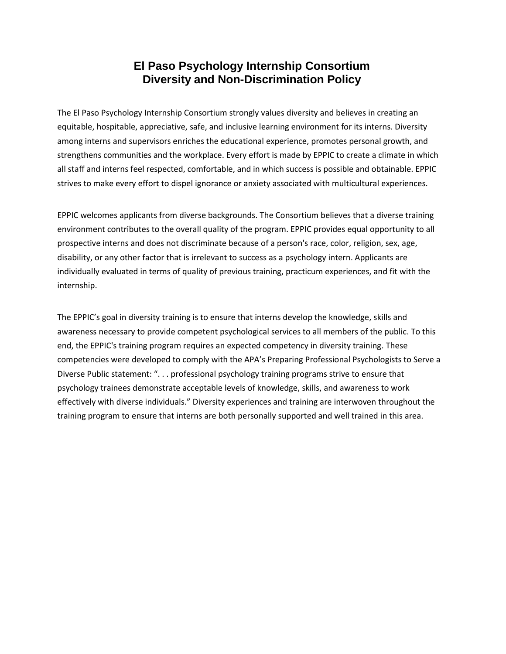# **El Paso Psychology Internship Consortium Diversity and Non-Discrimination Policy**

The El Paso Psychology Internship Consortium strongly values diversity and believes in creating an equitable, hospitable, appreciative, safe, and inclusive learning environment for its interns. Diversity among interns and supervisors enriches the educational experience, promotes personal growth, and strengthens communities and the workplace. Every effort is made by EPPIC to create a climate in which all staff and interns feel respected, comfortable, and in which success is possible and obtainable. EPPIC strives to make every effort to dispel ignorance or anxiety associated with multicultural experiences.

EPPIC welcomes applicants from diverse backgrounds. The Consortium believes that a diverse training environment contributes to the overall quality of the program. EPPIC provides equal opportunity to all prospective interns and does not discriminate because of a person's race, color, religion, sex, age, disability, or any other factor that is irrelevant to success as a psychology intern. Applicants are individually evaluated in terms of quality of previous training, practicum experiences, and fit with the internship.

The EPPIC's goal in diversity training is to ensure that interns develop the knowledge, skills and awareness necessary to provide competent psychological services to all members of the public. To this end, the EPPIC's training program requires an expected competency in diversity training. These competencies were developed to comply with the APA's Preparing Professional Psychologists to Serve a Diverse Public statement: ". . . professional psychology training programs strive to ensure that psychology trainees demonstrate acceptable levels of knowledge, skills, and awareness to work effectively with diverse individuals." Diversity experiences and training are interwoven throughout the training program to ensure that interns are both personally supported and well trained in this area.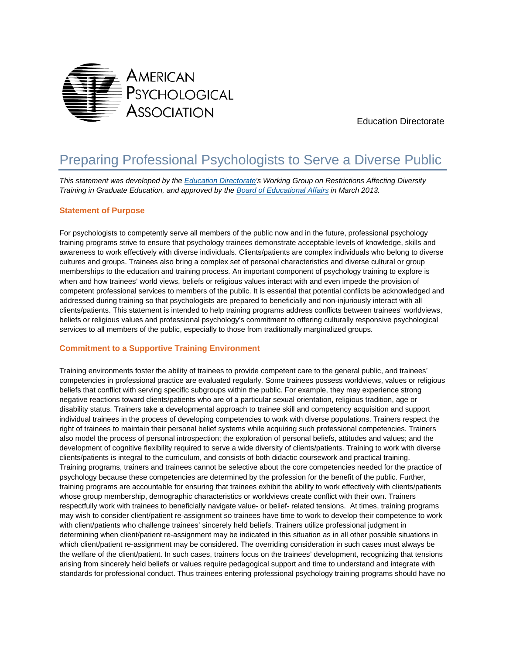

Education Directorate

# Preparing Professional Psychologists to Serve a Diverse Public

*This statement was developed by the [Education Directorate's](http://www.apa.org/ed/index.aspx) Working Group on Restrictions Affecting Diversity Training in Graduate Education, and approved by the [Board of Educational Affairs](http://www.apa.org/ed/governance/bea/index.aspx) in March 2013.*

#### **Statement of Purpose**

For psychologists to competently serve all members of the public now and in the future, professional psychology training programs strive to ensure that psychology trainees demonstrate acceptable levels of knowledge, skills and awareness to work effectively with diverse individuals. Clients/patients are complex individuals who belong to diverse cultures and groups. Trainees also bring a complex set of personal characteristics and diverse cultural or group memberships to the education and training process. An important component of psychology training to explore is when and how trainees' world views, beliefs or religious values interact with and even impede the provision of competent professional services to members of the public. It is essential that potential conflicts be acknowledged and addressed during training so that psychologists are prepared to beneficially and non-injuriously interact with all clients/patients. This statement is intended to help training programs address conflicts between trainees' worldviews, beliefs or religious values and professional psychology's commitment to offering culturally responsive psychological services to all members of the public, especially to those from traditionally marginalized groups.

### **Commitment to a Supportive Training Environment**

Training environments foster the ability of trainees to provide competent care to the general public, and trainees' competencies in professional practice are evaluated regularly. Some trainees possess worldviews, values or religious beliefs that conflict with serving specific subgroups within the public. For example, they may experience strong negative reactions toward clients/patients who are of a particular sexual orientation, religious tradition, age or disability status. Trainers take a developmental approach to trainee skill and competency acquisition and support individual trainees in the process of developing competencies to work with diverse populations. Trainers respect the right of trainees to maintain their personal belief systems while acquiring such professional competencies. Trainers also model the process of personal introspection; the exploration of personal beliefs, attitudes and values; and the development of cognitive flexibility required to serve a wide diversity of clients/patients. Training to work with diverse clients/patients is integral to the curriculum, and consists of both didactic coursework and practical training. Training programs, trainers and trainees cannot be selective about the core competencies needed for the practice of psychology because these competencies are determined by the profession for the benefit of the public. Further, training programs are accountable for ensuring that trainees exhibit the ability to work effectively with clients/patients whose group membership, demographic characteristics or worldviews create conflict with their own. Trainers respectfully work with trainees to beneficially navigate value- or belief- related tensions. At times, training programs may wish to consider client/patient re-assignment so trainees have time to work to develop their competence to work with client/patients who challenge trainees' sincerely held beliefs. Trainers utilize professional judgment in determining when client/patient re-assignment may be indicated in this situation as in all other possible situations in which client/patient re-assignment may be considered. The overriding consideration in such cases must always be the welfare of the client/patient. In such cases, trainers focus on the trainees' development, recognizing that tensions arising from sincerely held beliefs or values require pedagogical support and time to understand and integrate with standards for professional conduct. Thus trainees entering professional psychology training programs should have no